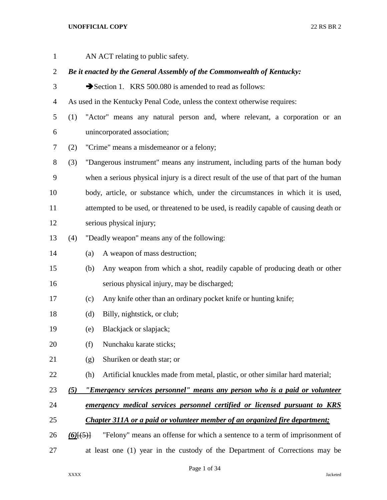| $\mathbf{1}$ |             |     | AN ACT relating to public safety.                                                      |
|--------------|-------------|-----|----------------------------------------------------------------------------------------|
| 2            |             |     | Be it enacted by the General Assembly of the Commonwealth of Kentucky:                 |
| 3            |             |     | Section 1. KRS 500.080 is amended to read as follows:                                  |
| 4            |             |     | As used in the Kentucky Penal Code, unless the context otherwise requires:             |
| 5            | (1)         |     | "Actor" means any natural person and, where relevant, a corporation or an              |
| 6            |             |     | unincorporated association;                                                            |
| 7            | (2)         |     | "Crime" means a misdemeanor or a felony;                                               |
| 8            | (3)         |     | "Dangerous instrument" means any instrument, including parts of the human body         |
| 9            |             |     | when a serious physical injury is a direct result of the use of that part of the human |
| 10           |             |     | body, article, or substance which, under the circumstances in which it is used,        |
| 11           |             |     | attempted to be used, or threatened to be used, is readily capable of causing death or |
| 12           |             |     | serious physical injury;                                                               |
| 13           | (4)         |     | "Deadly weapon" means any of the following:                                            |
| 14           |             | (a) | A weapon of mass destruction;                                                          |
| 15           |             | (b) | Any weapon from which a shot, readily capable of producing death or other              |
| 16           |             |     | serious physical injury, may be discharged;                                            |
| 17           |             | (c) | Any knife other than an ordinary pocket knife or hunting knife;                        |
| 18           |             | (d) | Billy, nightstick, or club;                                                            |
| 19           |             | (e) | Blackjack or slapjack;                                                                 |
| 20           |             | (f) | Nunchaku karate sticks;                                                                |
| 21           |             | (g) | Shuriken or death star; or                                                             |
| 22           |             | (h) | Artificial knuckles made from metal, plastic, or other similar hard material;          |
| 23           | (5)         |     | "Emergency services personnel" means any person who is a paid or volunteer             |
| 24           |             |     | emergency medical services personnel certified or licensed pursuant to KRS             |
| 25           |             |     | Chapter 311A or a paid or volunteer member of an organized fire department;            |
| 26           | $(6)$ [(5)] |     | "Felony" means an offense for which a sentence to a term of imprisonment of            |
| 27           |             |     | at least one (1) year in the custody of the Department of Corrections may be           |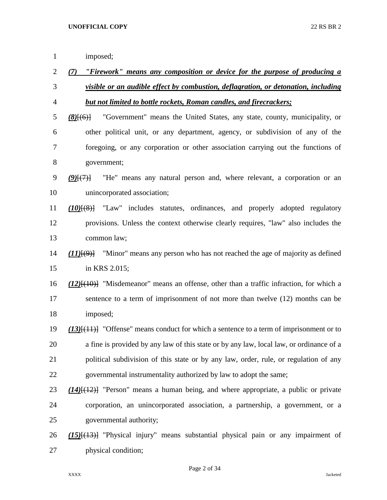| $\mathbf{1}$   | imposed;                                                                                          |
|----------------|---------------------------------------------------------------------------------------------------|
| $\overline{2}$ | (7) "Firework" means any composition or device for the purpose of producing a                     |
| 3              | visible or an audible effect by combustion, deflagration, or detonation, including                |
| 4              | <b>but not limited to bottle rockets, Roman candles, and firecrackers;</b>                        |
| 5              | "Government" means the United States, any state, county, municipality, or<br>$(8)$ $(6)$          |
| 6              | other political unit, or any department, agency, or subdivision of any of the                     |
| 7              | foregoing, or any corporation or other association carrying out the functions of                  |
| 8              | government;                                                                                       |
| 9              | "He" means any natural person and, where relevant, a corporation or an<br>$(9)$ $\{7\}$           |
| 10             | unincorporated association;                                                                       |
| 11             | "Law" includes statutes, ordinances, and properly adopted regulatory<br>$(10)$ $(8)$ $(8)$        |
| 12             | provisions. Unless the context otherwise clearly requires, "law" also includes the                |
| 13             | common law;                                                                                       |
| 14             | "Minor" means any person who has not reached the age of majority as defined<br>$(11)$ $(9)$ $(9)$ |
| 15             | in KRS 2.015;                                                                                     |
| 16             | $(12)$ [ $(10)$ ] "Misdemeanor" means an offense, other than a traffic infraction, for which a    |
| 17             | sentence to a term of imprisonment of not more than twelve (12) months can be                     |
| 18             | imposed;                                                                                          |
| 19             | $(13)$ [ $(11)$ ] "Offense" means conduct for which a sentence to a term of imprisonment or to    |
| 20             | a fine is provided by any law of this state or by any law, local law, or ordinance of a           |
| 21             | political subdivision of this state or by any law, order, rule, or regulation of any              |
| 22             | governmental instrumentality authorized by law to adopt the same;                                 |
| 23             | $(14)$ [ $(12)$ ] "Person" means a human being, and where appropriate, a public or private        |
| 24             | corporation, an unincorporated association, a partnership, a government, or a                     |
| 25             | governmental authority;                                                                           |
| 26             | $(15)$ [ $(13)$ ] "Physical injury" means substantial physical pain or any impairment of          |

physical condition;

Page 2 of 34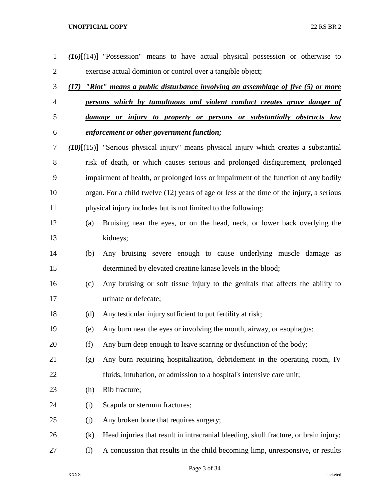| $\mathbf{1}$   | (16)[(14)] "Possession" means to have actual physical possession or otherwise to            |  |  |  |
|----------------|---------------------------------------------------------------------------------------------|--|--|--|
| $\overline{c}$ | exercise actual dominion or control over a tangible object;                                 |  |  |  |
| 3              | (17) "Riot" means a public disturbance involving an assemblage of five (5) or more          |  |  |  |
| 4              | persons which by tumultuous and violent conduct creates grave danger of                     |  |  |  |
| 5              | damage or injury to property or persons or substantially obstructs law                      |  |  |  |
| 6              | enforcement or other government function;                                                   |  |  |  |
| 7              | $(18)(15)$ "Serious physical injury" means physical injury which creates a substantial      |  |  |  |
| 8              | risk of death, or which causes serious and prolonged disfigurement, prolonged               |  |  |  |
| 9              | impairment of health, or prolonged loss or impairment of the function of any bodily         |  |  |  |
| 10             | organ. For a child twelve (12) years of age or less at the time of the injury, a serious    |  |  |  |
| 11             | physical injury includes but is not limited to the following:                               |  |  |  |
| 12             | Bruising near the eyes, or on the head, neck, or lower back overlying the<br>(a)            |  |  |  |
| 13             | kidneys;                                                                                    |  |  |  |
| 14             | Any bruising severe enough to cause underlying muscle damage as<br>(b)                      |  |  |  |
| 15             | determined by elevated creatine kinase levels in the blood;                                 |  |  |  |
| 16             | Any bruising or soft tissue injury to the genitals that affects the ability to<br>(c)       |  |  |  |
| 17             | urinate or defecate;                                                                        |  |  |  |
| 18             | Any testicular injury sufficient to put fertility at risk;<br>(d)                           |  |  |  |
| 19             | Any burn near the eyes or involving the mouth, airway, or esophagus;<br>(e)                 |  |  |  |
| 20             | (f)<br>Any burn deep enough to leave scarring or dysfunction of the body;                   |  |  |  |
| 21             | Any burn requiring hospitalization, debridement in the operating room, IV<br>(g)            |  |  |  |
| 22             | fluids, intubation, or admission to a hospital's intensive care unit;                       |  |  |  |
| 23             | Rib fracture;<br>(h)                                                                        |  |  |  |
| 24             | Scapula or sternum fractures;<br>(i)                                                        |  |  |  |
| 25             | Any broken bone that requires surgery;<br>(j)                                               |  |  |  |
| 26             | Head injuries that result in intracranial bleeding, skull fracture, or brain injury;<br>(k) |  |  |  |
| 27             | A concussion that results in the child becoming limp, unresponsive, or results<br>(1)       |  |  |  |

Page 3 of 34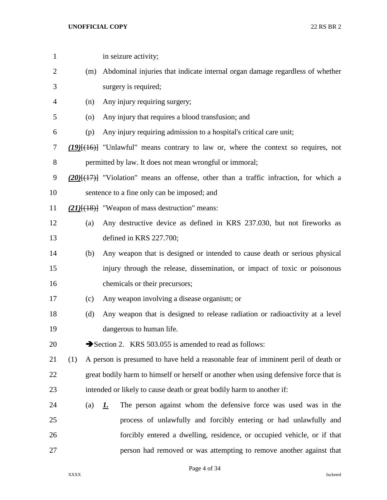| $\mathbf{1}$   |     | in seizure activity;                                                                            |
|----------------|-----|-------------------------------------------------------------------------------------------------|
| 2              | (m) | Abdominal injuries that indicate internal organ damage regardless of whether                    |
| 3              |     | surgery is required;                                                                            |
| $\overline{4}$ | (n) | Any injury requiring surgery;                                                                   |
| 5              | (0) | Any injury that requires a blood transfusion; and                                               |
| 6              | (p) | Any injury requiring admission to a hospital's critical care unit;                              |
| 7              |     | (19) <sup>[(16)</sup> ] "Unlawful" means contrary to law or, where the context so requires, not |
| $8\,$          |     | permitted by law. It does not mean wrongful or immoral;                                         |
| 9              |     | $(20)$ $\{ (17)$ "Violation" means an offense, other than a traffic infraction, for which a     |
| 10             |     | sentence to a fine only can be imposed; and                                                     |
| 11             |     | $(21)$ { $(18)$ } "Weapon of mass destruction" means:                                           |
| 12             | (a) | Any destructive device as defined in KRS 237.030, but not fireworks as                          |
| 13             |     | defined in KRS 227.700;                                                                         |
| 14             | (b) | Any weapon that is designed or intended to cause death or serious physical                      |
| 15             |     | injury through the release, dissemination, or impact of toxic or poisonous                      |
| 16             |     | chemicals or their precursors;                                                                  |
| 17             | (c) | Any weapon involving a disease organism; or                                                     |
| 18             | (d) | Any weapon that is designed to release radiation or radioactivity at a level                    |
| 19             |     | dangerous to human life.                                                                        |
| 20             |     | Section 2. KRS 503.055 is amended to read as follows:                                           |
| 21             | (1) | A person is presumed to have held a reasonable fear of imminent peril of death or               |
| 22             |     | great bodily harm to himself or herself or another when using defensive force that is           |
| 23             |     | intended or likely to cause death or great bodily harm to another if:                           |
| 24             | (a) | The person against whom the defensive force was used was in the<br><u>L.</u>                    |
| 25             |     | process of unlawfully and forcibly entering or had unlawfully and                               |
| 26             |     | forcibly entered a dwelling, residence, or occupied vehicle, or if that                         |
| 27             |     | person had removed or was attempting to remove another against that                             |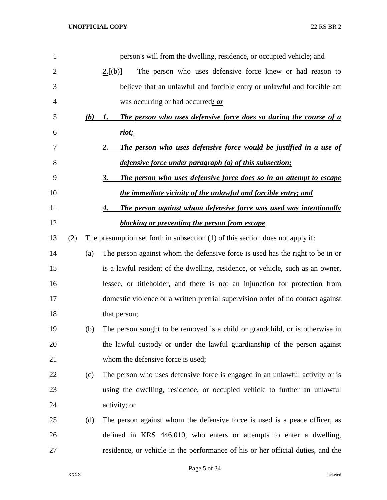| 1              |     |     | person's will from the dwelling, residence, or occupied vehicle; and             |
|----------------|-----|-----|----------------------------------------------------------------------------------|
| $\overline{2}$ |     |     | The person who uses defensive force knew or had reason to<br>2.[(b)]             |
| 3              |     |     | believe that an unlawful and forcible entry or unlawful and forcible act         |
| 4              |     |     | was occurring or had occurred; or                                                |
| 5              |     | (b) | The person who uses defensive force does so during the course of a<br>1.         |
| 6              |     |     | riot;                                                                            |
| 7              |     |     | 2.<br>The person who uses defensive force would be justified in a use of         |
| 8              |     |     | defensive force under paragraph (a) of this subsection;                          |
| 9              |     |     | 3.<br>The person who uses defensive force does so in an attempt to escape        |
| 10             |     |     | the immediate vicinity of the unlawful and forcible entry; and                   |
| 11             |     |     | The person against whom defensive force was used was intentionally<br>4.         |
| 12             |     |     | <b>blocking or preventing the person from escape.</b>                            |
| 13             | (2) |     | The presumption set forth in subsection $(1)$ of this section does not apply if: |
| 14             |     | (a) | The person against whom the defensive force is used has the right to be in or    |
| 15             |     |     | is a lawful resident of the dwelling, residence, or vehicle, such as an owner,   |
| 16             |     |     | lessee, or titleholder, and there is not an injunction for protection from       |
| 17             |     |     | domestic violence or a written pretrial supervision order of no contact against  |
| 18             |     |     | that person;                                                                     |
| 19             |     | (b) | The person sought to be removed is a child or grandchild, or is otherwise in     |
| 20             |     |     | the lawful custody or under the lawful guardianship of the person against        |
| 21             |     |     | whom the defensive force is used;                                                |
| 22             |     | (c) | The person who uses defensive force is engaged in an unlawful activity or is     |
| 23             |     |     | using the dwelling, residence, or occupied vehicle to further an unlawful        |
| 24             |     |     | activity; or                                                                     |
| 25             |     | (d) | The person against whom the defensive force is used is a peace officer, as       |
| 26             |     |     | defined in KRS 446.010, who enters or attempts to enter a dwelling,              |
| 27             |     |     | residence, or vehicle in the performance of his or her official duties, and the  |

Page 5 of 34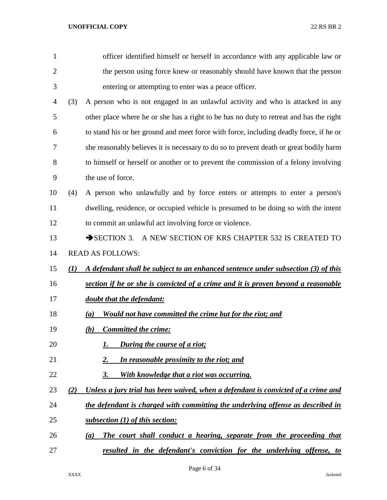| 1              |     | officer identified himself or herself in accordance with any applicable law or         |
|----------------|-----|----------------------------------------------------------------------------------------|
| $\overline{2}$ |     | the person using force knew or reasonably should have known that the person            |
| 3              |     | entering or attempting to enter was a peace officer.                                   |
| 4              | (3) | A person who is not engaged in an unlawful activity and who is attacked in any         |
| 5              |     | other place where he or she has a right to be has no duty to retreat and has the right |
| 6              |     | to stand his or her ground and meet force with force, including deadly force, if he or |
| 7              |     | she reasonably believes it is necessary to do so to prevent death or great bodily harm |
| 8              |     | to himself or herself or another or to prevent the commission of a felony involving    |
| 9              |     | the use of force.                                                                      |
| 10             | (4) | A person who unlawfully and by force enters or attempts to enter a person's            |
| 11             |     | dwelling, residence, or occupied vehicle is presumed to be doing so with the intent    |
| 12             |     | to commit an unlawful act involving force or violence.                                 |
| 13             |     | SECTION 3. A NEW SECTION OF KRS CHAPTER 532 IS CREATED TO                              |
| 14             |     | <b>READ AS FOLLOWS:</b>                                                                |
| 15             | (I) | A defendant shall be subject to an enhanced sentence under subsection (3) of this      |
| 16             |     | section if he or she is convicted of a crime and it is proven beyond a reasonable      |
| 17             |     | doubt that the defendant:                                                              |
| 18             |     | Would not have committed the crime but for the riot; and<br>(a)                        |
| 19             |     | <b>Committed the crime:</b><br>(b)                                                     |
| 20             |     | During the course of a riot;                                                           |
| 21             |     | In reasonable proximity to the riot; and<br>2.                                         |
| 22             |     | 3.<br>With knowledge that a riot was occurring.                                        |
| 23             | (2) | Unless a jury trial has been waived, when a defendant is convicted of a crime and      |
| 24             |     | the defendant is charged with committing the underlying offense as described in        |
| 25             |     | subsection (1) of this section:                                                        |
| 26             |     | The court shall conduct a hearing, separate from the proceeding that<br>(a)            |
| 27             |     | resulted in the defendant's conviction for the underlying offense, to                  |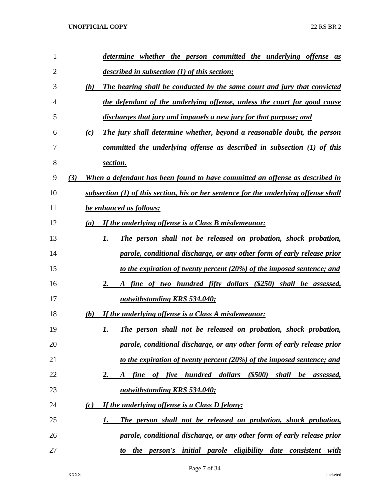| 1              | determine whether the person committed the underlying offense as                                |
|----------------|-------------------------------------------------------------------------------------------------|
| $\overline{2}$ | <i>described in subsection (1) of this section;</i>                                             |
| 3              | (b)<br>The hearing shall be conducted by the same court and jury that convicted                 |
| 4              | the defendant of the underlying offense, unless the court for good cause                        |
| 5              | discharges that jury and impanels a new jury for that purpose; and                              |
| 6              | The jury shall determine whether, beyond a reasonable doubt, the person<br>(c)                  |
| 7              | committed the underlying offense as described in subsection (1) of this                         |
| 8              | section.                                                                                        |
| 9              | (3)<br>When a defendant has been found to have committed an offense as described in             |
| 10             | subsection $(1)$ of this section, his or her sentence for the underlying offense shall          |
| 11             | be enhanced as follows:                                                                         |
| 12             | If the underlying offense is a Class B misdemeanor:<br>(a)                                      |
| 13             | The person shall not be released on probation, shock probation,<br>1.                           |
| 14             | parole, conditional discharge, or any other form of early release prior                         |
| 15             | to the expiration of twenty percent (20%) of the imposed sentence; and                          |
| 16             | fine of two hundred fifty dollars (\$250) shall be assessed,<br>2.<br>$\bm{A}$                  |
| 17             | notwithstanding KRS 534.040;                                                                    |
| 18             | <b>If the underlying offense is a Class A misdemeanor:</b><br>(b)                               |
| 19             | The person shall not be released on probation, shock probation,<br>1.                           |
| 20             | parole, conditional discharge, or any other form of early release prior                         |
| 21             | to the expiration of twenty percent (20%) of the imposed sentence; and                          |
| 22             | fine of five hundred dollars<br>$($ \$500 $)$<br>shall be<br><u>2.</u><br>assessed,<br>$\bm{A}$ |
| 23             | notwithstanding KRS 534.040;                                                                    |
| 24             | If the underlying offense is a Class D felony:<br>(c)                                           |
| 25             | The person shall not be released on probation, shock probation,<br>1.                           |
| 26             | parole, conditional discharge, or any other form of early release prior                         |
| 27             | the person's initial parole eligibility date consistent with<br>to                              |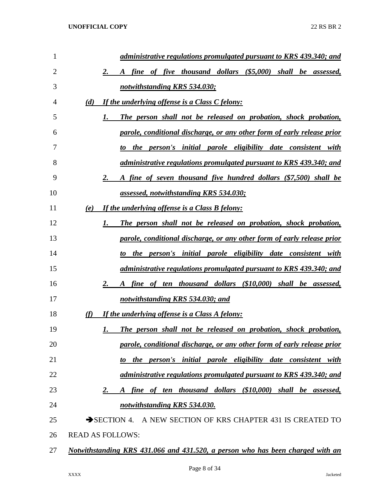| 1  | administrative regulations promulgated pursuant to KRS 439.340; and                  |
|----|--------------------------------------------------------------------------------------|
| 2  | fine of five thousand dollars (\$5,000) shall be assessed,<br>2.<br>$\bm{A}$         |
| 3  | notwithstanding KRS 534.030;                                                         |
| 4  | If the underlying offense is a Class C felony:<br>(d)                                |
| 5  | The person shall not be released on probation, shock probation,<br>1.                |
| 6  | parole, conditional discharge, or any other form of early release prior              |
| 7  | the person's initial parole eligibility date consistent with<br>to                   |
| 8  | administrative regulations promulgated pursuant to KRS 439.340; and                  |
| 9  | A fine of seven thousand five hundred dollars (\$7,500) shall be<br>2.               |
| 10 | assessed, notwithstanding KRS 534.030;                                               |
| 11 | If the underlying offense is a Class B felony:<br>(e)                                |
| 12 | The person shall not be released on probation, shock probation,<br>1.                |
| 13 | parole, conditional discharge, or any other form of early release prior              |
| 14 | the person's initial parole eligibility date consistent with<br>to                   |
| 15 | administrative regulations promulgated pursuant to KRS 439.340; and                  |
| 16 | fine of ten thousand dollars (\$10,000) shall be assessed,<br>2.<br>$\boldsymbol{A}$ |
| 17 | notwithstanding KRS 534.030; and                                                     |
| 18 | If the underlying offense is a Class A felony:<br>(f)                                |
| 19 | The person shall not be released on probation, shock probation,<br>1.                |
| 20 | parole, conditional discharge, or any other form of early release prior              |
| 21 | the person's initial parole eligibility date consistent with<br>to                   |
| 22 | administrative regulations promulgated pursuant to KRS 439.340; and                  |
| 23 | fine of ten thousand dollars (\$10,000) shall be assessed,<br>2.<br>A                |
| 24 | notwithstanding KRS 534.030.                                                         |
| 25 | SECTION 4. A NEW SECTION OF KRS CHAPTER 431 IS CREATED TO                            |
| 26 | <b>READ AS FOLLOWS:</b>                                                              |
| 27 | Notwithstanding KRS 431.066 and 431.520, a person who has been charged with an       |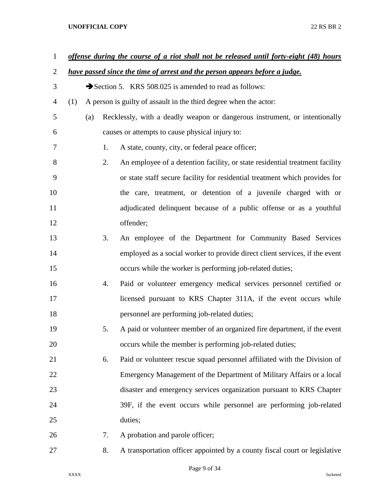| $\mathbf{1}$   |     |     |    | offense during the course of a riot shall not be released until forty-eight (48) hours |
|----------------|-----|-----|----|----------------------------------------------------------------------------------------|
| $\overline{2}$ |     |     |    | have passed since the time of arrest and the person appears before a judge.            |
| 3              |     |     |    | Section 5. KRS 508.025 is amended to read as follows:                                  |
| 4              | (1) |     |    | A person is guilty of assault in the third degree when the actor:                      |
| 5              |     | (a) |    | Recklessly, with a deadly weapon or dangerous instrument, or intentionally             |
| 6              |     |     |    | causes or attempts to cause physical injury to:                                        |
| 7              |     |     | 1. | A state, county, city, or federal peace officer;                                       |
| 8              |     |     | 2. | An employee of a detention facility, or state residential treatment facility           |
| 9              |     |     |    | or state staff secure facility for residential treatment which provides for            |
| 10             |     |     |    | the care, treatment, or detention of a juvenile charged with or                        |
| 11             |     |     |    | adjudicated delinquent because of a public offense or as a youthful                    |
| 12             |     |     |    | offender;                                                                              |
| 13             |     |     | 3. | An employee of the Department for Community Based Services                             |
| 14             |     |     |    | employed as a social worker to provide direct client services, if the event            |
| 15             |     |     |    | occurs while the worker is performing job-related duties;                              |
| 16             |     |     | 4. | Paid or volunteer emergency medical services personnel certified or                    |
| 17             |     |     |    | licensed pursuant to KRS Chapter 311A, if the event occurs while                       |
| 18             |     |     |    | personnel are performing job-related duties;                                           |
| 19             |     |     | 5. | A paid or volunteer member of an organized fire department, if the event               |
| 20             |     |     |    | occurs while the member is performing job-related duties;                              |
| 21             |     |     | 6. | Paid or volunteer rescue squad personnel affiliated with the Division of               |
| 22             |     |     |    | Emergency Management of the Department of Military Affairs or a local                  |
| 23             |     |     |    | disaster and emergency services organization pursuant to KRS Chapter                   |
| 24             |     |     |    | 39F, if the event occurs while personnel are performing job-related                    |
| 25             |     |     |    | duties;                                                                                |
| 26             |     |     | 7. | A probation and parole officer;                                                        |
| 27             |     |     | 8. | A transportation officer appointed by a county fiscal court or legislative             |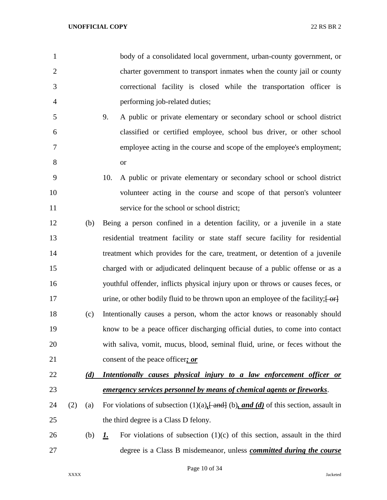|   | body of a consolidated local government, urban-county government, or   |
|---|------------------------------------------------------------------------|
| 2 | charter government to transport inmates when the county jail or county |
| 3 | correctional facility is closed while the transportation officer is    |
| 4 | performing job-related duties;                                         |
|   |                                                                        |

- 9. A public or private elementary or secondary school or school district classified or certified employee, school bus driver, or other school employee acting in the course and scope of the employee's employment; or
- 10. A public or private elementary or secondary school or school district volunteer acting in the course and scope of that person's volunteer service for the school or school district;
- (b) Being a person confined in a detention facility, or a juvenile in a state residential treatment facility or state staff secure facility for residential treatment which provides for the care, treatment, or detention of a juvenile charged with or adjudicated delinquent because of a public offense or as a youthful offender, inflicts physical injury upon or throws or causes feces, or 17 urine, or other bodily fluid to be thrown upon an employee of the facility;  $\left\{\theta + \theta\right\}$  (c) Intentionally causes a person, whom the actor knows or reasonably should know to be a peace officer discharging official duties, to come into contact with saliva, vomit, mucus, blood, seminal fluid, urine, or feces without the consent of the peace officer*; or*
- *(d) Intentionally causes physical injury to a law enforcement officer or emergency services personnel by means of chemical agents or fireworks*.
- (2) (a) For violations of subsection (1)(a)*,*[ and] (b)*, and (d)* of this section, assault in the third degree is a Class D felony.
- (b) *1.* For violations of subsection (1)(c) of this section, assault in the third degree is a Class B misdemeanor, unless *committed during the course*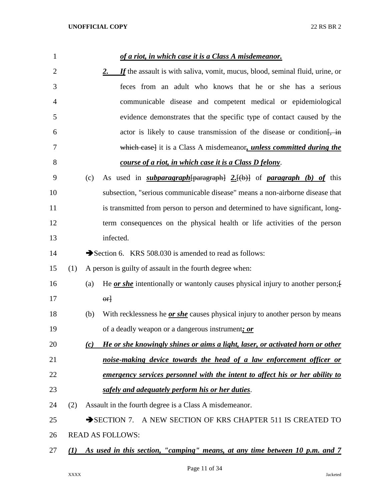| $\mathbf{1}$   |     |     | of a riot, in which case it is a Class A misdemeanor.                                                                        |
|----------------|-----|-----|------------------------------------------------------------------------------------------------------------------------------|
| 2              |     |     | If the assault is with saliva, vomit, mucus, blood, seminal fluid, urine, or<br>2.                                           |
| 3              |     |     | feces from an adult who knows that he or she has a serious                                                                   |
| $\overline{4}$ |     |     | communicable disease and competent medical or epidemiological                                                                |
| 5              |     |     | evidence demonstrates that the specific type of contact caused by the                                                        |
| 6              |     |     | actor is likely to cause transmission of the disease or condition.                                                           |
| 7              |     |     | which case] it is a Class A misdemeanor, <i>unless committed during the</i>                                                  |
| 8              |     |     | course of a riot, in which case it is a Class D felony.                                                                      |
| 9              |     | (c) | As used in <i>subparagraph</i> $\left\{\frac{\text{param}}{2}$ , $\left\{\text{(b)}\right\}$ of <i>paragraph</i> (b) of this |
| 10             |     |     | subsection, "serious communicable disease" means a non-airborne disease that                                                 |
| 11             |     |     | is transmitted from person to person and determined to have significant, long-                                               |
| 12             |     |     | term consequences on the physical health or life activities of the person                                                    |
| 13             |     |     | infected.                                                                                                                    |
| 14             |     |     | Section 6. KRS 508.030 is amended to read as follows:                                                                        |
| 15             | (1) |     | A person is guilty of assault in the fourth degree when:                                                                     |
| 16             |     | (a) | He <u>or she</u> intentionally or wantonly causes physical injury to another person; f                                       |
| 17             |     |     | $\Theta$ r                                                                                                                   |
| 18             |     | (b) | With recklessness he <i>or she</i> causes physical injury to another person by means                                         |
| 19             |     |     | of a deadly weapon or a dangerous instrument; or                                                                             |
| 20             |     | (c) | He or she knowingly shines or aims a light, laser, or activated horn or other                                                |
| 21             |     |     | noise-making device towards the head of a law enforcement officer or                                                         |
| 22             |     |     | <u>emergency services personnel with the intent to affect his or her ability to</u>                                          |
| 23             |     |     | safely and adequately perform his or her duties.                                                                             |
| 24             | (2) |     | Assault in the fourth degree is a Class A misdemeanor.                                                                       |
| 25             |     |     | A NEW SECTION OF KRS CHAPTER 511 IS CREATED TO<br>$\rightarrow$ SECTION 7.                                                   |
| 26             |     |     | <b>READ AS FOLLOWS:</b>                                                                                                      |
| 27             | (I) |     | As used in this section, "camping" means, at any time between 10 p.m. and 7                                                  |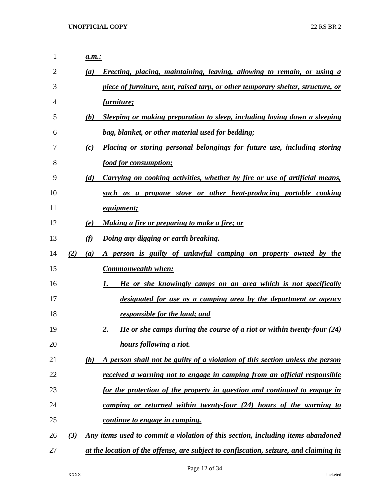| $\mathbf{1}$ | a.m.:      |                                                                                       |
|--------------|------------|---------------------------------------------------------------------------------------|
| 2            | (a)        | Erecting, placing, maintaining, leaving, allowing to remain, or using a               |
| 3            |            | piece of furniture, tent, raised tarp, or other temporary shelter, structure, or      |
| 4            |            | furniture;                                                                            |
| 5            | (b)        | Sleeping or making preparation to sleep, including laying down a sleeping             |
| 6            |            | bag, blanket, or other material used for bedding;                                     |
| 7            | (c)        | Placing or storing personal belongings for future use, including storing              |
| 8            |            | food for consumption;                                                                 |
| 9            | (d)        | <u>Carrying on cooking activities, whether by fire or use of artificial means,</u>    |
| 10           |            | such as a propane stove or other heat-producing portable cooking                      |
| 11           |            | <i>equipment;</i>                                                                     |
| 12           | (e)        | <u>Making a fire or preparing to make a fire; or</u>                                  |
| 13           | (f)        | <u>Doing any digging or earth breaking.</u>                                           |
| 14           | (2)<br>(a) | person is guilty of unlawful camping on property owned by the<br>A                    |
| 15           |            | <b>Commonwealth when:</b>                                                             |
| 16           |            | He or she knowingly camps on an area which is not specifically<br>1.                  |
| 17           |            | designated for use as a camping area by the department or agency                      |
| 18           |            | responsible for the land; and                                                         |
| 19           |            | He or she camps during the course of a riot or within twenty-four (24)<br>2.          |
| 20           |            | hours following a riot.                                                               |
| 21           | (b)        | A person shall not be guilty of a violation of this section unless the person         |
| 22           |            | received a warning not to engage in camping from an official responsible              |
| 23           |            | for the protection of the property in question and continued to engage in             |
| 24           |            | camping or returned within twenty-four (24) hours of the warning to                   |
| 25           |            | continue to engage in camping.                                                        |
| 26           | (3)        | Any items used to commit a violation of this section, including items abandoned       |
| 27           |            | at the location of the offense, are subject to confiscation, seizure, and claiming in |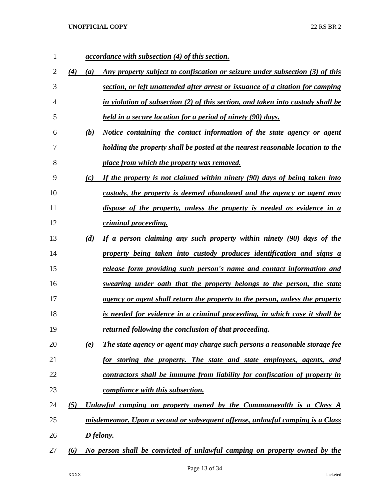| $\mathbf{1}$   |            | <i>accordance with subsection (4) of this section.</i>                              |
|----------------|------------|-------------------------------------------------------------------------------------|
| 2              | (4)<br>(a) | Any property subject to confiscation or seizure under subsection (3) of this        |
| 3              |            | section, or left unattended after arrest or issuance of a citation for camping      |
| $\overline{4}$ |            | in violation of subsection (2) of this section, and taken into custody shall be     |
| 5              |            | held in a secure location for a period of ninety (90) days.                         |
| 6              | (b)        | Notice containing the contact information of the state agency or agent              |
| 7              |            | holding the property shall be posted at the nearest reasonable location to the      |
| 8              |            | place from which the property was removed.                                          |
| 9              | (c)        | If the property is not claimed within ninety (90) days of being taken into          |
| 10             |            | custody, the property is deemed abandoned and the agency or agent may               |
| 11             |            | dispose of the property, unless the property is needed as evidence in a             |
| 12             |            | <i>criminal proceeding.</i>                                                         |
| 13             | (d)        | If a person claiming any such property within ninety (90) days of the               |
| 14             |            | property being taken into custody produces identification and signs a               |
| 15             |            | release form providing such person's name and contact information and               |
| 16             |            | swearing under oath that the property belongs to the person, the state              |
| 17             |            | <u>agency or agent shall return the property to the person, unless the property</u> |
| 18             |            | is needed for evidence in a criminal proceeding, in which case it shall be          |
| 19             |            | returned following the conclusion of that proceeding.                               |
| 20             | (e)        | The state agency or agent may charge such persons a reasonable storage fee          |
| 21             |            | for storing the property. The state and state employees, agents, and                |
| 22             |            | contractors shall be immune from liability for confiscation of property in          |
| 23             |            | compliance with this subsection.                                                    |
| 24             | (5)        | Unlawful camping on property owned by the Commonwealth is a Class A                 |
| 25             |            | misdemeanor. Upon a second or subsequent offense, unlawful camping is a Class       |
| 26             |            | D felony.                                                                           |
| 27             | (6)        | No person shall be convicted of unlawful camping on property owned by the           |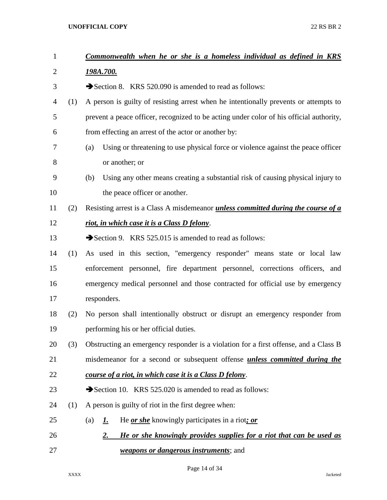| $\mathbf{1}$   |     | Commonwealth when he or she is a homeless individual as defined in KRS                   |
|----------------|-----|------------------------------------------------------------------------------------------|
| $\overline{2}$ |     | 198A.700.                                                                                |
| 3              |     | Section 8. KRS 520.090 is amended to read as follows:                                    |
| 4              | (1) | A person is guilty of resisting arrest when he intentionally prevents or attempts to     |
| 5              |     | prevent a peace officer, recognized to be acting under color of his official authority,  |
| 6              |     | from effecting an arrest of the actor or another by:                                     |
| 7              |     | Using or threatening to use physical force or violence against the peace officer<br>(a)  |
| 8              |     | or another; or                                                                           |
| 9              |     | Using any other means creating a substantial risk of causing physical injury to<br>(b)   |
| 10             |     | the peace officer or another.                                                            |
| 11             | (2) | Resisting arrest is a Class A misdemeanor <i>unless committed during the course of a</i> |
| 12             |     | riot, in which case it is a Class D felony.                                              |
| 13             |     | Section 9. KRS 525.015 is amended to read as follows:                                    |
| 14             | (1) | As used in this section, "emergency responder" means state or local law                  |
| 15             |     | enforcement personnel, fire department personnel, corrections officers, and              |
| 16             |     | emergency medical personnel and those contracted for official use by emergency           |
| 17             |     | responders.                                                                              |
| 18             | (2) | No person shall intentionally obstruct or disrupt an emergency responder from            |
| 19             |     | performing his or her official duties.                                                   |
| 20             | (3) | Obstructing an emergency responder is a violation for a first offense, and a Class B     |
| 21             |     | misdemeanor for a second or subsequent offense <i>unless committed during the</i>        |
| 22             |     | course of a riot, in which case it is a Class D felony.                                  |
| 23             |     | Section 10. KRS 525.020 is amended to read as follows:                                   |
| 24             | (1) | A person is guilty of riot in the first degree when:                                     |
| 25             |     | He <u>or she</u> knowingly participates in a riot; or<br>(a)<br><u>L.</u>                |
| 26             |     | He or she knowingly provides supplies for a riot that can be used as<br><u>2.</u>        |
| 27             |     | <i><u>weapons or dangerous instruments</u></i> ; and                                     |

Page 14 of 34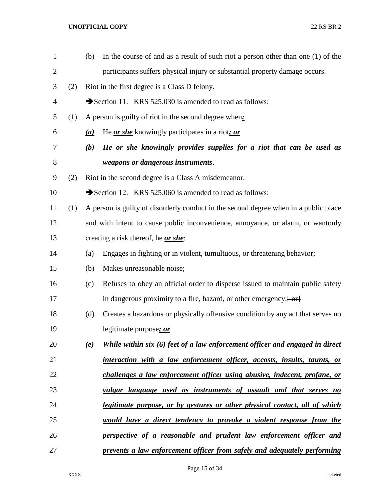| $\mathbf{1}$   |     | (b) | In the course of and as a result of such riot a person other than one $(1)$ of the   |
|----------------|-----|-----|--------------------------------------------------------------------------------------|
| $\overline{2}$ |     |     | participants suffers physical injury or substantial property damage occurs.          |
| 3              | (2) |     | Riot in the first degree is a Class D felony.                                        |
| 4              |     |     | Section 11. KRS 525.030 is amended to read as follows:                               |
| 5              | (1) |     | A person is guilty of riot in the second degree when:                                |
| 6              |     | (a) | He <u>or she</u> knowingly participates in a riot; or                                |
| 7              |     | (b) | He or she knowingly provides supplies for a riot that can be used as                 |
| 8              |     |     | weapons or dangerous instruments.                                                    |
| 9              | (2) |     | Riot in the second degree is a Class A misdemeanor.                                  |
| 10             |     |     | Section 12. KRS 525.060 is amended to read as follows:                               |
| 11             | (1) |     | A person is guilty of disorderly conduct in the second degree when in a public place |
| 12             |     |     | and with intent to cause public inconvenience, annoyance, or alarm, or wantonly      |
| 13             |     |     | creating a risk thereof, he or she:                                                  |
| 14             |     | (a) | Engages in fighting or in violent, tumultuous, or threatening behavior;              |
| 15             |     | (b) | Makes unreasonable noise;                                                            |
| 16             |     | (c) | Refuses to obey an official order to disperse issued to maintain public safety       |
| 17             |     |     | in dangerous proximity to a fire, hazard, or other emergency; [ or]                  |
| 18             |     | (d) | Creates a hazardous or physically offensive condition by any act that serves no      |
| 19             |     |     | legitimate purpose; or                                                               |
| 20             |     | (e) | While within six (6) feet of a law enforcement officer and engaged in direct         |
| 21             |     |     | interaction with a law enforcement officer, accosts, insults, taunts, or             |
| 22             |     |     | challenges a law enforcement officer using abusive, indecent, profane, or            |
| 23             |     |     | vulgar language used as instruments of assault and that serves no                    |
| 24             |     |     | <u>legitimate purpose, or by gestures or other physical contact, all of which</u>    |
| 25             |     |     | would have a direct tendency to provoke a violent response from the                  |
| 26             |     |     | perspective of a reasonable and prudent law enforcement officer and                  |
| 27             |     |     | prevents a law enforcement officer from safely and adequately performing             |

Page 15 of 34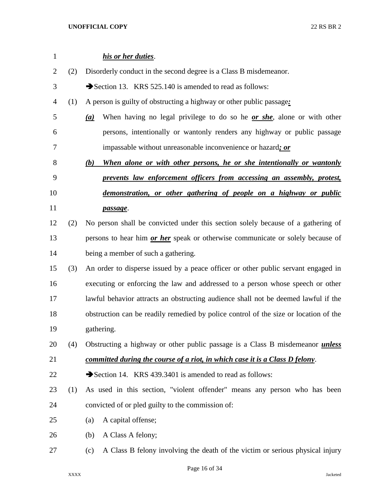| $\mathbf{1}$   |     | his or her duties.                                                                    |
|----------------|-----|---------------------------------------------------------------------------------------|
| $\overline{c}$ | (2) | Disorderly conduct in the second degree is a Class B misdemeanor.                     |
| 3              |     | Section 13. KRS 525.140 is amended to read as follows:                                |
| 4              | (1) | A person is guilty of obstructing a highway or other public passage:                  |
| 5              |     | When having no legal privilege to do so he <u>or she</u> , alone or with other<br>(a) |
| 6              |     | persons, intentionally or wantonly renders any highway or public passage              |
| 7              |     | impassable without unreasonable inconvenience or hazard; or                           |
| 8              |     | (b)<br>When alone or with other persons, he or she intentionally or wantonly          |
| 9              |     | prevents law enforcement officers from accessing an assembly, protest,                |
| 10             |     | demonstration, or other gathering of people on a highway or public                    |
| 11             |     | passage.                                                                              |
| 12             | (2) | No person shall be convicted under this section solely because of a gathering of      |
| 13             |     | persons to hear him <i>or her</i> speak or otherwise communicate or solely because of |
| 14             |     | being a member of such a gathering.                                                   |
| 15             | (3) | An order to disperse issued by a peace officer or other public servant engaged in     |
| 16             |     | executing or enforcing the law and addressed to a person whose speech or other        |
| 17             |     | lawful behavior attracts an obstructing audience shall not be deemed lawful if the    |
| 18             |     | obstruction can be readily remedied by police control of the size or location of the  |
| 19             |     | gathering.                                                                            |
| 20             | (4) | Obstructing a highway or other public passage is a Class B misdemeanor <i>unless</i>  |
| 21             |     | <u>committed during the course of a riot, in which case it is a Class D felony.</u>   |
| 22             |     | Section 14. KRS 439.3401 is amended to read as follows:                               |
| 23             | (1) | As used in this section, "violent offender" means any person who has been             |
| 24             |     | convicted of or pled guilty to the commission of:                                     |
| 25             |     | A capital offense;<br>(a)                                                             |
| 26             |     | A Class A felony;<br>(b)                                                              |
| 27             |     | A Class B felony involving the death of the victim or serious physical injury<br>(c)  |
|                |     |                                                                                       |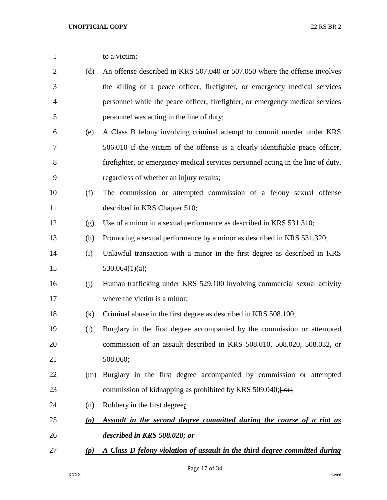| $\mathbf{1}$   |                                 | to a victim;                                                                                      |
|----------------|---------------------------------|---------------------------------------------------------------------------------------------------|
| $\overline{2}$ | (d)                             | An offense described in KRS 507.040 or 507.050 where the offense involves                         |
| 3              |                                 | the killing of a peace officer, firefighter, or emergency medical services                        |
| $\overline{4}$ |                                 | personnel while the peace officer, firefighter, or emergency medical services                     |
| 5              |                                 | personnel was acting in the line of duty;                                                         |
| 6              | (e)                             | A Class B felony involving criminal attempt to commit murder under KRS                            |
| 7              |                                 | 506.010 if the victim of the offense is a clearly identifiable peace officer,                     |
| 8              |                                 | firefighter, or emergency medical services personnel acting in the line of duty,                  |
| 9              |                                 | regardless of whether an injury results;                                                          |
| 10             | (f)                             | The commission or attempted commission of a felony sexual offense                                 |
| 11             |                                 | described in KRS Chapter 510;                                                                     |
| 12             | (g)                             | Use of a minor in a sexual performance as described in KRS 531.310;                               |
| 13             | (h)                             | Promoting a sexual performance by a minor as described in KRS 531.320;                            |
| 14             | (i)                             | Unlawful transaction with a minor in the first degree as described in KRS                         |
| 15             |                                 | 530.064 $(1)(a)$ ;                                                                                |
| 16             | (j)                             | Human trafficking under KRS 529.100 involving commercial sexual activity                          |
| 17             |                                 | where the victim is a minor;                                                                      |
| 18             | (k)                             | Criminal abuse in the first degree as described in KRS 508.100;                                   |
| 19             | (1)                             | Burglary in the first degree accompanied by the commission or attempted                           |
| 20             |                                 | commission of an assault described in KRS 508.010, 508.020, 508.032, or                           |
| 21             |                                 | 508.060;                                                                                          |
| 22             | (m)                             | Burglary in the first degree accompanied by commission or attempted                               |
| 23             |                                 | commission of kidnapping as prohibited by KRS 509.040; $\left\lfloor \frac{6r}{10} \right\rfloor$ |
| 24             | (n)                             | Robbery in the first degree;                                                                      |
| 25             | $\boldsymbol{\left( o \right)}$ | Assault in the second degree committed during the course of a riot as                             |
| 26             |                                 | described in KRS 508.020; or                                                                      |
| 27             | (p)                             | A Class D felony violation of assault in the third degree committed during                        |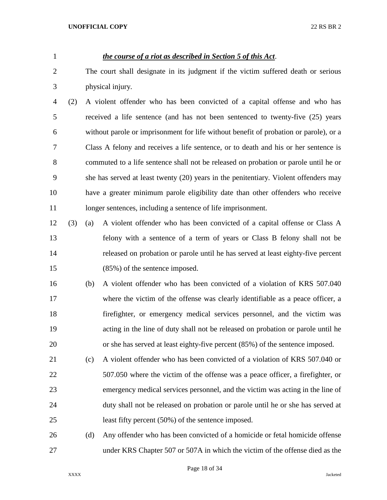# *the course of a riot as described in Section 5 of this Act*.

- The court shall designate in its judgment if the victim suffered death or serious physical injury.
- (2) A violent offender who has been convicted of a capital offense and who has received a life sentence (and has not been sentenced to twenty-five (25) years without parole or imprisonment for life without benefit of probation or parole), or a Class A felony and receives a life sentence, or to death and his or her sentence is commuted to a life sentence shall not be released on probation or parole until he or she has served at least twenty (20) years in the penitentiary. Violent offenders may have a greater minimum parole eligibility date than other offenders who receive 11 longer sentences, including a sentence of life imprisonment.
- (3) (a) A violent offender who has been convicted of a capital offense or Class A felony with a sentence of a term of years or Class B felony shall not be released on probation or parole until he has served at least eighty-five percent (85%) of the sentence imposed.
- (b) A violent offender who has been convicted of a violation of KRS 507.040 17 where the victim of the offense was clearly identifiable as a peace officer, a firefighter, or emergency medical services personnel, and the victim was acting in the line of duty shall not be released on probation or parole until he or she has served at least eighty-five percent (85%) of the sentence imposed.
- (c) A violent offender who has been convicted of a violation of KRS 507.040 or 507.050 where the victim of the offense was a peace officer, a firefighter, or emergency medical services personnel, and the victim was acting in the line of duty shall not be released on probation or parole until he or she has served at least fifty percent (50%) of the sentence imposed.
- (d) Any offender who has been convicted of a homicide or fetal homicide offense under KRS Chapter 507 or 507A in which the victim of the offense died as the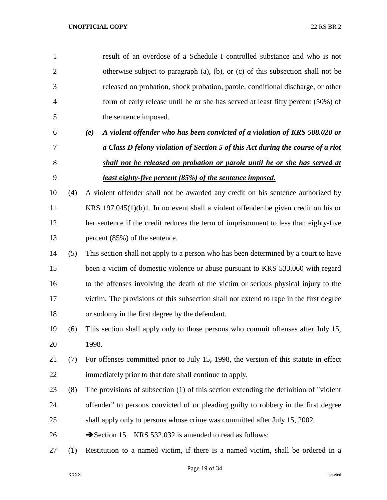| $\mathbf{1}$   |     | result of an overdose of a Schedule I controlled substance and who is not                |
|----------------|-----|------------------------------------------------------------------------------------------|
| $\overline{2}$ |     | otherwise subject to paragraph (a), (b), or (c) of this subsection shall not be          |
| 3              |     | released on probation, shock probation, parole, conditional discharge, or other          |
| 4              |     | form of early release until he or she has served at least fifty percent (50%) of         |
| 5              |     | the sentence imposed.                                                                    |
| 6              |     | A violent offender who has been convicted of a violation of KRS 508.020 or<br>(e)        |
| 7              |     | a Class D felony violation of Section 5 of this Act during the course of a riot          |
| 8              |     | shall not be released on probation or parole until he or she has served at               |
| 9              |     | <u>least eighty-five percent (85%) of the sentence imposed.</u>                          |
| 10             | (4) | A violent offender shall not be awarded any credit on his sentence authorized by         |
| 11             |     | KRS $197.045(1)(b)1$ . In no event shall a violent offender be given credit on his or    |
| 12             |     | her sentence if the credit reduces the term of imprisonment to less than eighty-five     |
| 13             |     | percent (85%) of the sentence.                                                           |
| 14             | (5) | This section shall not apply to a person who has been determined by a court to have      |
| 15             |     | been a victim of domestic violence or abuse pursuant to KRS 533.060 with regard          |
| 16             |     | to the offenses involving the death of the victim or serious physical injury to the      |
| 17             |     | victim. The provisions of this subsection shall not extend to rape in the first degree   |
| 18             |     | or sodomy in the first degree by the defendant.                                          |
| 19             | (6) | This section shall apply only to those persons who commit offenses after July 15,        |
| 20             |     | 1998.                                                                                    |
| 21             | (7) | For offenses committed prior to July 15, 1998, the version of this statute in effect     |
| 22             |     | immediately prior to that date shall continue to apply.                                  |
| 23             | (8) | The provisions of subsection $(1)$ of this section extending the definition of "violent" |
| 24             |     | offender" to persons convicted of or pleading guilty to robbery in the first degree      |
| 25             |     | shall apply only to persons whose crime was committed after July 15, 2002.               |
| 26             |     | Section 15. KRS 532.032 is amended to read as follows:                                   |
| 27             | (1) | Restitution to a named victim, if there is a named victim, shall be ordered in a         |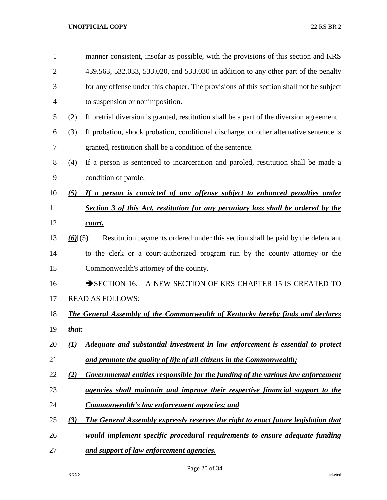| $\mathbf{1}$   |                 | manner consistent, insofar as possible, with the provisions of this section and KRS       |
|----------------|-----------------|-------------------------------------------------------------------------------------------|
| $\overline{2}$ |                 | 439.563, 532.033, 533.020, and 533.030 in addition to any other part of the penalty       |
| 3              |                 | for any offense under this chapter. The provisions of this section shall not be subject   |
| $\overline{4}$ |                 | to suspension or nonimposition.                                                           |
| 5              | (2)             | If pretrial diversion is granted, restitution shall be a part of the diversion agreement. |
| 6              | (3)             | If probation, shock probation, conditional discharge, or other alternative sentence is    |
| 7              |                 | granted, restitution shall be a condition of the sentence.                                |
| 8              | (4)             | If a person is sentenced to incarceration and paroled, restitution shall be made a        |
| 9              |                 | condition of parole.                                                                      |
| 10             | (5)             | If a person is convicted of any offense subject to enhanced penalties under               |
| 11             |                 | Section 3 of this Act, restitution for any pecuniary loss shall be ordered by the         |
| 12             |                 | court.                                                                                    |
| 13             | $(6)$ [ $(5)$ ] | Restitution payments ordered under this section shall be paid by the defendant            |
| 14             |                 | to the clerk or a court-authorized program run by the county attorney or the              |
| 15             |                 | Commonwealth's attorney of the county.                                                    |
| 16             |                 | $\rightarrow$ SECTION 16.<br>A NEW SECTION OF KRS CHAPTER 15 IS CREATED TO                |
| 17             |                 | <b>READ AS FOLLOWS:</b>                                                                   |
| 18             |                 | <b>The General Assembly of the Commonwealth of Kentucky hereby finds and declares</b>     |
| 19             | that:           |                                                                                           |
| 20             | (I)             | Adequate and substantial investment in law enforcement is essential to protect            |
| 21             |                 | and promote the quality of life of all citizens in the Commonwealth;                      |
| 22             | (2)             | Governmental entities responsible for the funding of the various law enforcement          |
| 23             |                 | agencies shall maintain and improve their respective financial support to the             |
| 24             |                 | <b>Commonwealth's law enforcement agencies; and</b>                                       |
| 25             | (3)             | <b>The General Assembly expressly reserves the right to enact future legislation that</b> |
| 26             |                 | would implement specific procedural requirements to ensure adequate funding               |
| 27             |                 | and support of law enforcement agencies.                                                  |

Page 20 of 34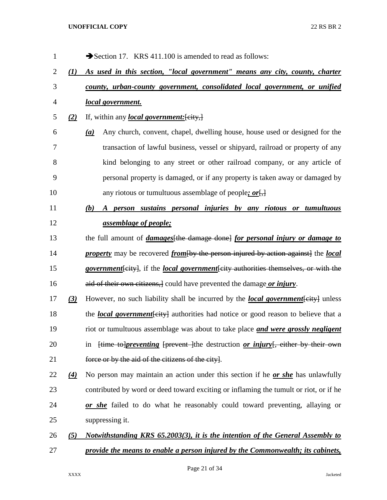| 1              |                  | Section 17. KRS 411.100 is amended to read as follows:                                                         |
|----------------|------------------|----------------------------------------------------------------------------------------------------------------|
| $\overline{c}$ | (I)              | As used in this section, "local government" means any city, county, charter                                    |
| 3              |                  | county, urban-county government, consolidated local government, or unified                                     |
| $\overline{4}$ |                  | local government.                                                                                              |
| 5              | (2)              | If, within any <i>local government</i> : [city,]                                                               |
| 6              |                  | Any church, convent, chapel, dwelling house, house used or designed for the<br>(a)                             |
| 7              |                  | transaction of lawful business, vessel or shipyard, railroad or property of any                                |
| 8              |                  | kind belonging to any street or other railroad company, or any article of                                      |
| 9              |                  | personal property is damaged, or if any property is taken away or damaged by                                   |
| 10             |                  | any riotous or tumultuous assemblage of people; $or \left[ \frac{1}{2} \right]$                                |
| 11             |                  | A person sustains personal injuries by any riotous or tumultuous<br>(b)                                        |
| 12             |                  | <u>assemblage of people;</u>                                                                                   |
| 13             |                  | the full amount of <i>damages</i> [the damage done] for personal injury or <i>damage to</i>                    |
| 14             |                  | <i>property</i> may be recovered <i>from</i> [by the person injured by action against] the <i>local</i>        |
| 15             |                  | <i>government</i> [city], if the <i>local government</i> [city authorities themselves, or with the             |
| 16             |                  | aid of their own citizens, could have prevented the damage or injury.                                          |
| 17             | $\left(3\right)$ | However, no such liability shall be incurred by the <i>local government</i> [eity] unless                      |
| 18             |                  | the <i>local government</i> [eity] authorities had notice or good reason to believe that a                     |
| 19             |                  | riot or tumultuous assemblage was about to take place and were grossly negligent                               |
| 20             |                  | in $\frac{1}{2}$ [time to <i>preventing</i> [prevent ] the destruction <i>or injury</i> [, either by their own |
| 21             |                  | force or by the aid of the citizens of the city.                                                               |
| 22             | $\underline{4}$  | No person may maintain an action under this section if he <i>or she</i> has unlawfully                         |
| 23             |                  | contributed by word or deed toward exciting or inflaming the tumult or riot, or if he                          |
| 24             |                  | or she failed to do what he reasonably could toward preventing, allaying or                                    |
| 25             |                  | suppressing it.                                                                                                |
| 26             | (5)              | Notwithstanding KRS 65.2003(3), it is the intention of the General Assembly to                                 |
| 27             |                  | provide the means to enable a person injured by the Commonwealth; its cabinets,                                |

Page 21 of 34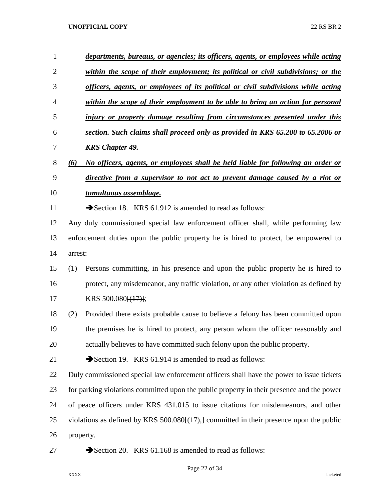| 1              | departments, bureaus, or agencies; its officers, agents, or employees while acting                             |  |
|----------------|----------------------------------------------------------------------------------------------------------------|--|
| $\overline{2}$ | within the scope of their employment; its political or civil subdivisions; or the                              |  |
| 3              | officers, agents, or employees of its political or civil subdivisions while acting                             |  |
| 4              | within the scope of their employment to be able to bring an action for personal                                |  |
| 5              | injury or property damage resulting from circumstances presented under this                                    |  |
| 6              | section. Such claims shall proceed only as provided in KRS 65.200 to 65.2006 or                                |  |
| 7              | <b>KRS Chapter 49.</b>                                                                                         |  |
| 8              | No officers, agents, or employees shall be held liable for following an order or<br>(6)                        |  |
| 9              | directive from a supervisor to not act to prevent damage caused by a riot or                                   |  |
| 10             | tumultuous assemblage.                                                                                         |  |
| 11             | Section 18. KRS 61.912 is amended to read as follows:                                                          |  |
| 12             | Any duly commissioned special law enforcement officer shall, while performing law                              |  |
| 13             | enforcement duties upon the public property he is hired to protect, be empowered to                            |  |
| 14             | arrest:                                                                                                        |  |
| 15             | Persons committing, in his presence and upon the public property he is hired to<br>(1)                         |  |
| 16             | protect, any misdemeanor, any traffic violation, or any other violation as defined by                          |  |
| 17             | KRS 500.080 $\left[\frac{(17)}{17}\right]$ ;                                                                   |  |
| 18             | Provided there exists probable cause to believe a felony has been committed upon<br>(2)                        |  |
| 19             | the premises he is hired to protect, any person whom the officer reasonably and                                |  |
| 20             | actually believes to have committed such felony upon the public property.                                      |  |
| 21             | Section 19. KRS 61.914 is amended to read as follows:                                                          |  |
| 22             | Duly commissioned special law enforcement officers shall have the power to issue tickets                       |  |
| 23             | for parking violations committed upon the public property in their presence and the power                      |  |
| 24             | of peace officers under KRS 431.015 to issue citations for misdemeanors, and other                             |  |
| 25             | violations as defined by KRS 500.080 $\left[\frac{(17)}{7}\right]$ committed in their presence upon the public |  |
| 26             | property.                                                                                                      |  |
| 27             | Section 20. KRS 61.168 is amended to read as follows:                                                          |  |

Page 22 of 34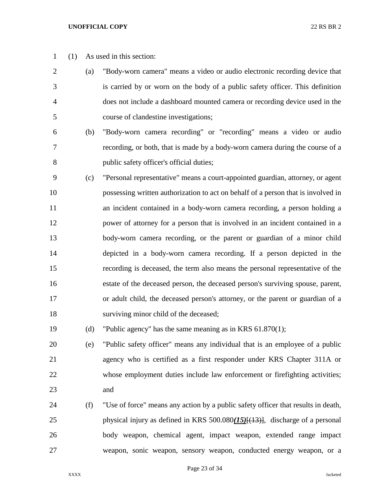- (1) As used in this section:
- (a) "Body-worn camera" means a video or audio electronic recording device that is carried by or worn on the body of a public safety officer. This definition does not include a dashboard mounted camera or recording device used in the course of clandestine investigations;
- (b) "Body-worn camera recording" or "recording" means a video or audio recording, or both, that is made by a body-worn camera during the course of a public safety officer's official duties;
- (c) "Personal representative" means a court-appointed guardian, attorney, or agent possessing written authorization to act on behalf of a person that is involved in an incident contained in a body-worn camera recording, a person holding a power of attorney for a person that is involved in an incident contained in a body-worn camera recording, or the parent or guardian of a minor child depicted in a body-worn camera recording. If a person depicted in the recording is deceased, the term also means the personal representative of the estate of the deceased person, the deceased person's surviving spouse, parent, or adult child, the deceased person's attorney, or the parent or guardian of a surviving minor child of the deceased;
- (d) "Public agency" has the same meaning as in KRS 61.870(1);
- (e) "Public safety officer" means any individual that is an employee of a public agency who is certified as a first responder under KRS Chapter 311A or whose employment duties include law enforcement or firefighting activities; and
- (f) "Use of force" means any action by a public safety officer that results in death, physical injury as defined in KRS 500.080*(15)*[(13)], discharge of a personal body weapon, chemical agent, impact weapon, extended range impact weapon, sonic weapon, sensory weapon, conducted energy weapon, or a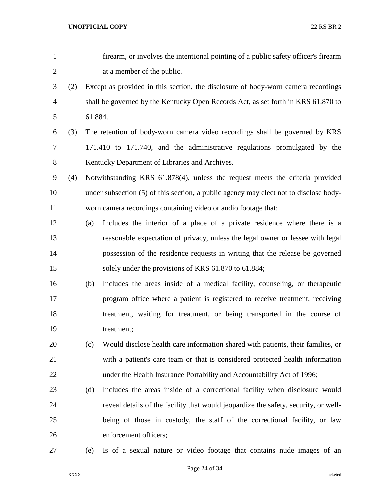| 1              |     |         | firearm, or involves the intentional pointing of a public safety officer's firearm    |
|----------------|-----|---------|---------------------------------------------------------------------------------------|
| $\overline{2}$ |     |         | at a member of the public.                                                            |
| 3              | (2) |         | Except as provided in this section, the disclosure of body-worn camera recordings     |
| $\overline{4}$ |     |         | shall be governed by the Kentucky Open Records Act, as set forth in KRS 61.870 to     |
| 5              |     | 61.884. |                                                                                       |
| 6              | (3) |         | The retention of body-worn camera video recordings shall be governed by KRS           |
| 7              |     |         | 171.410 to 171.740, and the administrative regulations promulgated by the             |
| 8              |     |         | Kentucky Department of Libraries and Archives.                                        |
| 9              | (4) |         | Notwithstanding KRS 61.878(4), unless the request meets the criteria provided         |
| 10             |     |         | under subsection (5) of this section, a public agency may elect not to disclose body- |
| 11             |     |         | worn camera recordings containing video or audio footage that:                        |
| 12             |     | (a)     | Includes the interior of a place of a private residence where there is a              |
| 13             |     |         | reasonable expectation of privacy, unless the legal owner or lessee with legal        |
| 14             |     |         | possession of the residence requests in writing that the release be governed          |
| 15             |     |         | solely under the provisions of KRS 61.870 to 61.884;                                  |
| 16             |     | (b)     | Includes the areas inside of a medical facility, counseling, or therapeutic           |
| 17             |     |         | program office where a patient is registered to receive treatment, receiving          |
| 18             |     |         | treatment, waiting for treatment, or being transported in the course of               |
| 19             |     |         | treatment;                                                                            |
| 20             |     | (c)     | Would disclose health care information shared with patients, their families, or       |
| 21             |     |         | with a patient's care team or that is considered protected health information         |
| 22             |     |         | under the Health Insurance Portability and Accountability Act of 1996;                |
| 23             |     | (d)     | Includes the areas inside of a correctional facility when disclosure would            |
| 24             |     |         | reveal details of the facility that would jeopardize the safety, security, or well-   |
| 25             |     |         | being of those in custody, the staff of the correctional facility, or law             |
| 26             |     |         | enforcement officers;                                                                 |
| 27             |     | (e)     | Is of a sexual nature or video footage that contains nude images of an                |

Page 24 of 34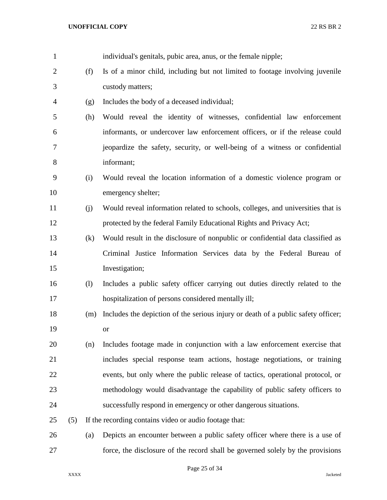| $\mathbf{1}$   |     |     | individual's genitals, pubic area, anus, or the female nipple;                    |
|----------------|-----|-----|-----------------------------------------------------------------------------------|
| $\overline{2}$ |     | (f) | Is of a minor child, including but not limited to footage involving juvenile      |
| 3              |     |     | custody matters;                                                                  |
| 4              |     | (g) | Includes the body of a deceased individual;                                       |
| 5              |     | (h) | Would reveal the identity of witnesses, confidential law enforcement              |
| 6              |     |     | informants, or undercover law enforcement officers, or if the release could       |
| 7              |     |     | jeopardize the safety, security, or well-being of a witness or confidential       |
| 8              |     |     | informant;                                                                        |
| 9              |     | (i) | Would reveal the location information of a domestic violence program or           |
| 10             |     |     | emergency shelter;                                                                |
| 11             |     | (j) | Would reveal information related to schools, colleges, and universities that is   |
| 12             |     |     | protected by the federal Family Educational Rights and Privacy Act;               |
| 13             |     | (k) | Would result in the disclosure of nonpublic or confidential data classified as    |
| 14             |     |     | Criminal Justice Information Services data by the Federal Bureau of               |
| 15             |     |     | Investigation;                                                                    |
| 16             |     | (1) | Includes a public safety officer carrying out duties directly related to the      |
| 17             |     |     | hospitalization of persons considered mentally ill;                               |
| 18             |     | (m) | Includes the depiction of the serious injury or death of a public safety officer; |
| 19             |     |     | <b>or</b>                                                                         |
| 20             |     | (n) | Includes footage made in conjunction with a law enforcement exercise that         |
| 21             |     |     | includes special response team actions, hostage negotiations, or training         |
| 22             |     |     | events, but only where the public release of tactics, operational protocol, or    |
| 23             |     |     | methodology would disadvantage the capability of public safety officers to        |
| 24             |     |     | successfully respond in emergency or other dangerous situations.                  |
| 25             | (5) |     | If the recording contains video or audio footage that:                            |
| 26             |     | (a) | Depicts an encounter between a public safety officer where there is a use of      |
| 27             |     |     | force, the disclosure of the record shall be governed solely by the provisions    |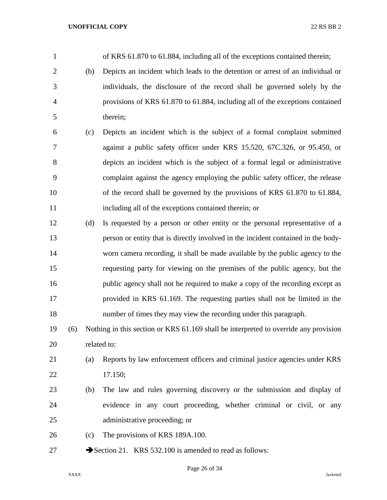| $\mathbf{1}$   |     |     | of KRS 61.870 to 61.884, including all of the exceptions contained therein;          |
|----------------|-----|-----|--------------------------------------------------------------------------------------|
| $\overline{2}$ |     | (b) | Depicts an incident which leads to the detention or arrest of an individual or       |
| 3              |     |     | individuals, the disclosure of the record shall be governed solely by the            |
| $\overline{4}$ |     |     | provisions of KRS 61.870 to 61.884, including all of the exceptions contained        |
| 5              |     |     | therein;                                                                             |
| 6              |     | (c) | Depicts an incident which is the subject of a formal complaint submitted             |
| 7              |     |     | against a public safety officer under KRS 15.520, 67C.326, or 95.450, or             |
| 8              |     |     | depicts an incident which is the subject of a formal legal or administrative         |
| 9              |     |     | complaint against the agency employing the public safety officer, the release        |
| 10             |     |     | of the record shall be governed by the provisions of KRS 61.870 to 61.884,           |
| 11             |     |     | including all of the exceptions contained therein; or                                |
| 12             |     | (d) | Is requested by a person or other entity or the personal representative of a         |
| 13             |     |     | person or entity that is directly involved in the incident contained in the body-    |
| 14             |     |     | worn camera recording, it shall be made available by the public agency to the        |
| 15             |     |     | requesting party for viewing on the premises of the public agency, but the           |
| 16             |     |     | public agency shall not be required to make a copy of the recording except as        |
| 17             |     |     | provided in KRS 61.169. The requesting parties shall not be limited in the           |
| 18             |     |     | number of times they may view the recording under this paragraph.                    |
| 19             | (6) |     | Nothing in this section or KRS 61.169 shall be interpreted to override any provision |
| 20             |     |     | related to:                                                                          |
| 21             |     | (a) | Reports by law enforcement officers and criminal justice agencies under KRS          |
| 22             |     |     | 17.150;                                                                              |
| 23             |     | (b) | The law and rules governing discovery or the submission and display of               |
| 24             |     |     | evidence in any court proceeding, whether criminal or civil, or any                  |
| 25             |     |     | administrative proceeding; or                                                        |
| 26             |     | (c) | The provisions of KRS 189A.100.                                                      |
| 27             |     |     | Section 21. KRS 532.100 is amended to read as follows:                               |

Page 26 of 34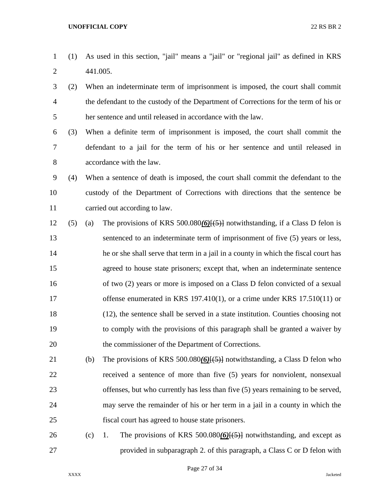- (1) As used in this section, "jail" means a "jail" or "regional jail" as defined in KRS 441.005.
- (2) When an indeterminate term of imprisonment is imposed, the court shall commit the defendant to the custody of the Department of Corrections for the term of his or her sentence and until released in accordance with the law.
- (3) When a definite term of imprisonment is imposed, the court shall commit the defendant to a jail for the term of his or her sentence and until released in accordance with the law.
- (4) When a sentence of death is imposed, the court shall commit the defendant to the custody of the Department of Corrections with directions that the sentence be carried out according to law.
- (5) (a) The provisions of KRS 500.080*(6)*[(5)] notwithstanding, if a Class D felon is sentenced to an indeterminate term of imprisonment of five (5) years or less, he or she shall serve that term in a jail in a county in which the fiscal court has agreed to house state prisoners; except that, when an indeterminate sentence 16 of two (2) years or more is imposed on a Class D felon convicted of a sexual 17 offense enumerated in KRS 197.410(1), or a crime under KRS 17.510(11) or (12), the sentence shall be served in a state institution. Counties choosing not to comply with the provisions of this paragraph shall be granted a waiver by the commissioner of the Department of Corrections.
- (b) The provisions of KRS 500.080*(6)*[(5)] notwithstanding, a Class D felon who received a sentence of more than five (5) years for nonviolent, nonsexual offenses, but who currently has less than five (5) years remaining to be served, may serve the remainder of his or her term in a jail in a county in which the fiscal court has agreed to house state prisoners.
- (c) 1. The provisions of KRS 500.080*(6)*[(5)] notwithstanding, and except as provided in subparagraph 2. of this paragraph, a Class C or D felon with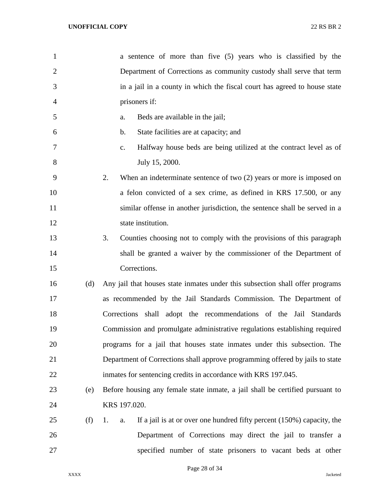| $\mathbf{1}$   |     | a sentence of more than five (5) years who is classified by the                      |
|----------------|-----|--------------------------------------------------------------------------------------|
| $\overline{2}$ |     | Department of Corrections as community custody shall serve that term                 |
| 3              |     | in a jail in a county in which the fiscal court has agreed to house state            |
| 4              |     | prisoners if:                                                                        |
| 5              |     | Beds are available in the jail;<br>a.                                                |
| 6              |     | State facilities are at capacity; and<br>$\mathbf b$ .                               |
| 7              |     | Halfway house beds are being utilized at the contract level as of<br>$\mathbf{c}$ .  |
| 8              |     | July 15, 2000.                                                                       |
| 9              |     | 2.<br>When an indeterminate sentence of two $(2)$ years or more is imposed on        |
| 10             |     | a felon convicted of a sex crime, as defined in KRS 17.500, or any                   |
| 11             |     | similar offense in another jurisdiction, the sentence shall be served in a           |
| 12             |     | state institution.                                                                   |
| 13             |     | 3.<br>Counties choosing not to comply with the provisions of this paragraph          |
| 14             |     | shall be granted a waiver by the commissioner of the Department of                   |
| 15             |     | Corrections.                                                                         |
| 16             | (d) | Any jail that houses state inmates under this subsection shall offer programs        |
| 17             |     | as recommended by the Jail Standards Commission. The Department of                   |
| 18             |     | Corrections shall adopt the recommendations of the Jail Standards                    |
| 19             |     | Commission and promulgate administrative regulations establishing required           |
| 20             |     | programs for a jail that houses state inmates under this subsection. The             |
| 21             |     | Department of Corrections shall approve programming offered by jails to state        |
| 22             |     | inmates for sentencing credits in accordance with KRS 197.045.                       |
| 23             | (e) | Before housing any female state inmate, a jail shall be certified pursuant to        |
| 24             |     | KRS 197.020.                                                                         |
| 25             | (f) | If a jail is at or over one hundred fifty percent $(150%)$ capacity, the<br>1.<br>a. |
| 26             |     | Department of Corrections may direct the jail to transfer a                          |
| 27             |     | specified number of state prisoners to vacant beds at other                          |

Page 28 of 34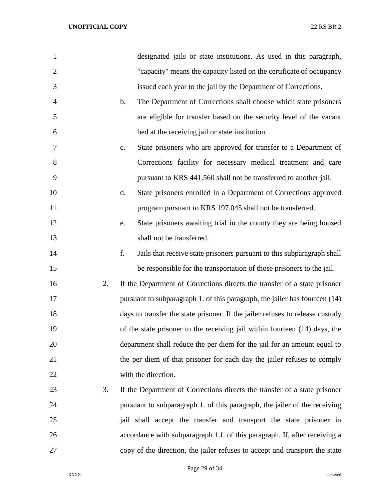| 1              |               | designated jails or state institutions. As used in this paragraph,            |
|----------------|---------------|-------------------------------------------------------------------------------|
| $\overline{2}$ |               | "capacity" means the capacity listed on the certificate of occupancy          |
| 3              |               | issued each year to the jail by the Department of Corrections.                |
| $\overline{4}$ | $\mathbf b$ . | The Department of Corrections shall choose which state prisoners              |
| 5              |               | are eligible for transfer based on the security level of the vacant           |
| 6              |               | bed at the receiving jail or state institution.                               |
| $\overline{7}$ | c.            | State prisoners who are approved for transfer to a Department of              |
| 8              |               | Corrections facility for necessary medical treatment and care                 |
| 9              |               | pursuant to KRS 441.560 shall not be transferred to another jail.             |
| 10             | d.            | State prisoners enrolled in a Department of Corrections approved              |
| 11             |               | program pursuant to KRS 197.045 shall not be transferred.                     |
| 12             | e.            | State prisoners awaiting trial in the county they are being housed            |
| 13             |               | shall not be transferred.                                                     |
| 14             | f.            | Jails that receive state prisoners pursuant to this subparagraph shall        |
| 15             |               | be responsible for the transportation of those prisoners to the jail.         |
| 16             | 2.            | If the Department of Corrections directs the transfer of a state prisoner     |
| 17             |               | pursuant to subparagraph 1. of this paragraph, the jailer has fourteen (14)   |
| 18             |               | days to transfer the state prisoner. If the jailer refuses to release custody |
| 19             |               | of the state prisoner to the receiving jail within fourteen (14) days, the    |
| 20             |               | department shall reduce the per diem for the jail for an amount equal to      |
| 21             |               | the per diem of that prisoner for each day the jailer refuses to comply       |
| 22             |               | with the direction.                                                           |
| 23             | 3.            | If the Department of Corrections directs the transfer of a state prisoner     |
| 24             |               | pursuant to subparagraph 1. of this paragraph, the jailer of the receiving    |
| 25             |               | jail shall accept the transfer and transport the state prisoner in            |
| 26             |               | accordance with subparagraph 1.f. of this paragraph. If, after receiving a    |
| 27             |               | copy of the direction, the jailer refuses to accept and transport the state   |

Page 29 of 34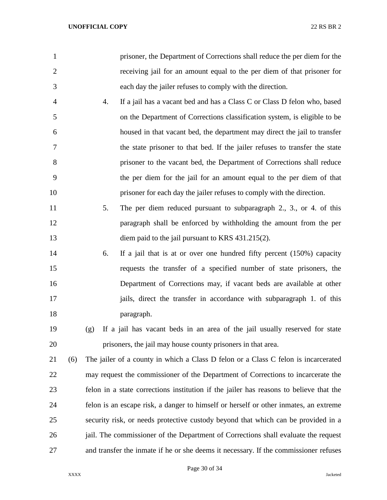| $\mathbf{1}$   |     |     | prisoner, the Department of Corrections shall reduce the per diem for the              |
|----------------|-----|-----|----------------------------------------------------------------------------------------|
| $\overline{2}$ |     |     | receiving jail for an amount equal to the per diem of that prisoner for                |
| 3              |     |     | each day the jailer refuses to comply with the direction.                              |
| $\overline{4}$ |     | 4.  | If a jail has a vacant bed and has a Class C or Class D felon who, based               |
| 5              |     |     | on the Department of Corrections classification system, is eligible to be              |
| 6              |     |     | housed in that vacant bed, the department may direct the jail to transfer              |
| 7              |     |     | the state prisoner to that bed. If the jailer refuses to transfer the state            |
| 8              |     |     | prisoner to the vacant bed, the Department of Corrections shall reduce                 |
| 9              |     |     | the per diem for the jail for an amount equal to the per diem of that                  |
| 10             |     |     | prisoner for each day the jailer refuses to comply with the direction.                 |
| 11             |     | 5.  | The per diem reduced pursuant to subparagraph 2., 3., or 4. of this                    |
| 12             |     |     | paragraph shall be enforced by withholding the amount from the per                     |
| 13             |     |     | diem paid to the jail pursuant to KRS 431.215(2).                                      |
| 14             |     | 6.  | If a jail that is at or over one hundred fifty percent $(150%)$ capacity               |
| 15             |     |     | requests the transfer of a specified number of state prisoners, the                    |
| 16             |     |     | Department of Corrections may, if vacant beds are available at other                   |
| 17             |     |     | jails, direct the transfer in accordance with subparagraph 1. of this                  |
| 18             |     |     | paragraph.                                                                             |
| 19             |     | (g) | If a jail has vacant beds in an area of the jail usually reserved for state            |
| 20             |     |     | prisoners, the jail may house county prisoners in that area.                           |
| 21             | (6) |     | The jailer of a county in which a Class D felon or a Class C felon is incarcerated     |
| 22             |     |     | may request the commissioner of the Department of Corrections to incarcerate the       |
| 23             |     |     | felon in a state corrections institution if the jailer has reasons to believe that the |
| 24             |     |     | felon is an escape risk, a danger to himself or herself or other inmates, an extreme   |
| 25             |     |     | security risk, or needs protective custody beyond that which can be provided in a      |
| 26             |     |     | jail. The commissioner of the Department of Corrections shall evaluate the request     |
| 27             |     |     | and transfer the inmate if he or she deems it necessary. If the commissioner refuses   |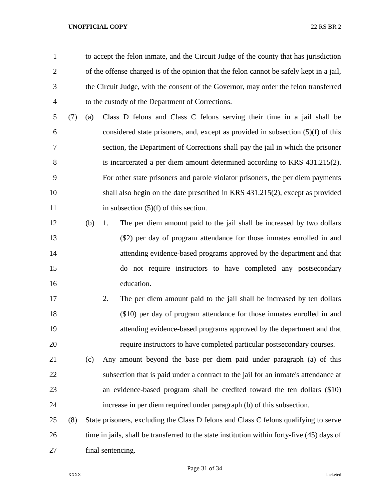to accept the felon inmate, and the Circuit Judge of the county that has jurisdiction of the offense charged is of the opinion that the felon cannot be safely kept in a jail, the Circuit Judge, with the consent of the Governor, may order the felon transferred to the custody of the Department of Corrections.

- (7) (a) Class D felons and Class C felons serving their time in a jail shall be considered state prisoners, and, except as provided in subsection (5)(f) of this section, the Department of Corrections shall pay the jail in which the prisoner is incarcerated a per diem amount determined according to KRS 431.215(2). For other state prisoners and parole violator prisoners, the per diem payments shall also begin on the date prescribed in KRS 431.215(2), except as provided 11 in subsection (5)(f) of this section.
- (b) 1. The per diem amount paid to the jail shall be increased by two dollars (\$2) per day of program attendance for those inmates enrolled in and attending evidence-based programs approved by the department and that do not require instructors to have completed any postsecondary education.
- 2. The per diem amount paid to the jail shall be increased by ten dollars (\$10) per day of program attendance for those inmates enrolled in and attending evidence-based programs approved by the department and that require instructors to have completed particular postsecondary courses.
- (c) Any amount beyond the base per diem paid under paragraph (a) of this subsection that is paid under a contract to the jail for an inmate's attendance at an evidence-based program shall be credited toward the ten dollars (\$10) increase in per diem required under paragraph (b) of this subsection.
- (8) State prisoners, excluding the Class D felons and Class C felons qualifying to serve time in jails, shall be transferred to the state institution within forty-five (45) days of final sentencing.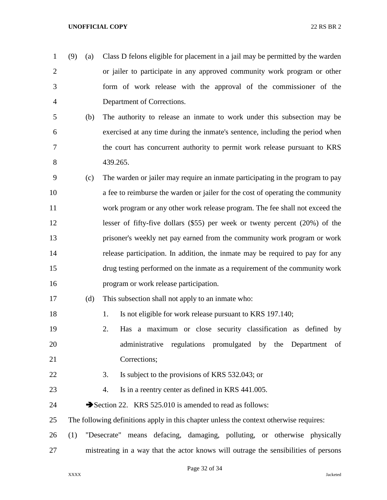- (9) (a) Class D felons eligible for placement in a jail may be permitted by the warden or jailer to participate in any approved community work program or other form of work release with the approval of the commissioner of the Department of Corrections.
- (b) The authority to release an inmate to work under this subsection may be exercised at any time during the inmate's sentence, including the period when the court has concurrent authority to permit work release pursuant to KRS 439.265.
- (c) The warden or jailer may require an inmate participating in the program to pay a fee to reimburse the warden or jailer for the cost of operating the community work program or any other work release program. The fee shall not exceed the lesser of fifty-five dollars (\$55) per week or twenty percent (20%) of the prisoner's weekly net pay earned from the community work program or work release participation. In addition, the inmate may be required to pay for any drug testing performed on the inmate as a requirement of the community work program or work release participation.
- (d) This subsection shall not apply to an inmate who:
- 18 1. Is not eligible for work release pursuant to KRS 197.140;
- 2. Has a maximum or close security classification as defined by administrative regulations promulgated by the Department of Corrections;
- 22 3. Is subject to the provisions of KRS 532.043; or
- 23 4. Is in a reentry center as defined in KRS 441.005.
- 24 Section 22. KRS 525.010 is amended to read as follows:
- The following definitions apply in this chapter unless the context otherwise requires:
- (1) "Desecrate" means defacing, damaging, polluting, or otherwise physically mistreating in a way that the actor knows will outrage the sensibilities of persons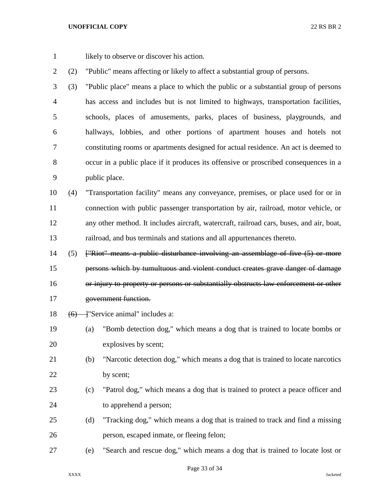1 likely to observe or discover his action.

(2) "Public" means affecting or likely to affect a substantial group of persons.

 (3) "Public place" means a place to which the public or a substantial group of persons has access and includes but is not limited to highways, transportation facilities, schools, places of amusements, parks, places of business, playgrounds, and hallways, lobbies, and other portions of apartment houses and hotels not constituting rooms or apartments designed for actual residence. An act is deemed to occur in a public place if it produces its offensive or proscribed consequences in a public place.

 (4) "Transportation facility" means any conveyance, premises, or place used for or in connection with public passenger transportation by air, railroad, motor vehicle, or any other method. It includes aircraft, watercraft, railroad cars, buses, and air, boat, railroad, and bus terminals and stations and all appurtenances thereto.

- (5) ["Riot" means a public disturbance involving an assemblage of five (5) or more persons which by tumultuous and violent conduct creates grave danger of damage or injury to property or persons or substantially obstructs law enforcement or other government function.
- 18  $(6)$   $\rightarrow$  "Service animal" includes a:
- (a) "Bomb detection dog," which means a dog that is trained to locate bombs or explosives by scent;
- (b) "Narcotic detection dog," which means a dog that is trained to locate narcotics 22 by scent;
- (c) "Patrol dog," which means a dog that is trained to protect a peace officer and to apprehend a person;
- (d) "Tracking dog," which means a dog that is trained to track and find a missing person, escaped inmate, or fleeing felon;
- (e) "Search and rescue dog," which means a dog that is trained to locate lost or